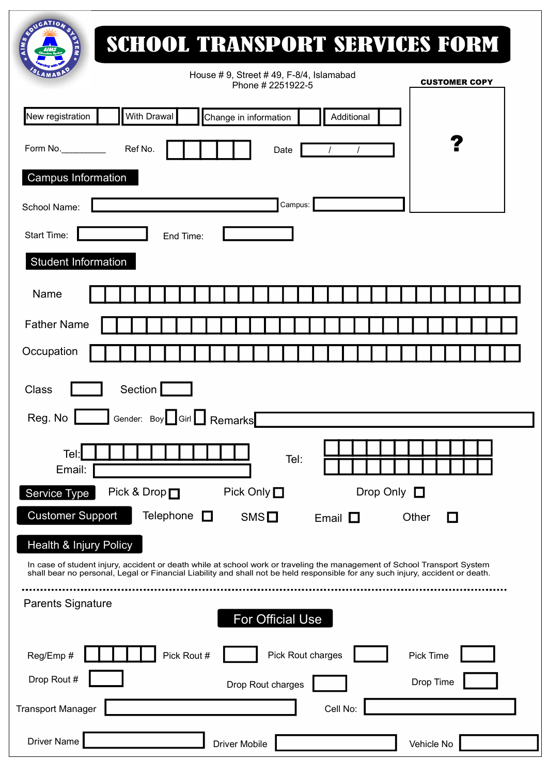| <b>SCHOOL TRANSPORT SERVICES FORM</b><br>House # 9, Street # 49, F-8/4, Islamabad<br><b>CUSTOMER COPY</b>                                                                                                                                                  |
|------------------------------------------------------------------------------------------------------------------------------------------------------------------------------------------------------------------------------------------------------------|
| Phone # 2251922-5<br>New registration<br><b>With Drawal</b><br>Change in information<br>Additional                                                                                                                                                         |
| Ref No.<br>Form No. $\qquad \qquad$<br>Date                                                                                                                                                                                                                |
| <b>Campus Information</b>                                                                                                                                                                                                                                  |
| Campus:<br>School Name:                                                                                                                                                                                                                                    |
| Start Time:<br>End Time:                                                                                                                                                                                                                                   |
| <b>Student Information</b>                                                                                                                                                                                                                                 |
| Name                                                                                                                                                                                                                                                       |
| <b>Father Name</b>                                                                                                                                                                                                                                         |
| Occupation                                                                                                                                                                                                                                                 |
| Section  <br>Class                                                                                                                                                                                                                                         |
| Gender: Boy $\Box$ Girl $\Box$ Remarks<br>Reg. No                                                                                                                                                                                                          |
| Tel:<br>Tel:                                                                                                                                                                                                                                               |
| Email:                                                                                                                                                                                                                                                     |
| Pick & Drop□<br>Pick Only $\Box$<br>Drop Only $\Box$<br>Service Type                                                                                                                                                                                       |
| <b>Customer Support</b><br>Telephone $\Box$<br>$SMS$ $\Box$<br>Email $\Box$<br>□<br>Other                                                                                                                                                                  |
| Health & Injury Policy                                                                                                                                                                                                                                     |
| In case of student injury, accident or death while at school work or traveling the management of School Transport System<br>shall bear no personal, Legal or Financial Liability and shall not be held responsible for any such injury, accident or death. |

| onan boar no poloonal, Logar or i manoial Liability and onal not bo noid rooponoible for any caon injury, accident or death. |                         |            |
|------------------------------------------------------------------------------------------------------------------------------|-------------------------|------------|
| <b>Parents Signature</b>                                                                                                     | <b>For Official Use</b> |            |
| Pick Rout #<br>Reg/Emp #                                                                                                     | Pick Rout charges       | Pick Time  |
| Drop Rout #                                                                                                                  | Drop Rout charges       | Drop Time  |
| <b>Transport Manager</b>                                                                                                     | Cell No:                |            |
| <b>Driver Name</b>                                                                                                           | <b>Driver Mobile</b>    | Vehicle No |